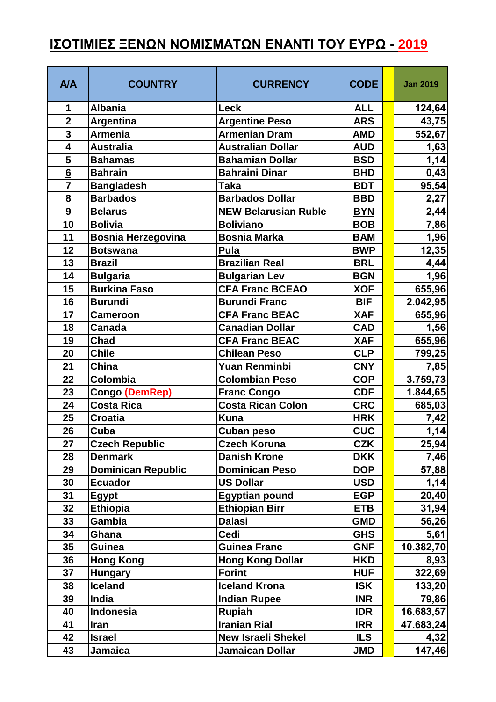## **ΙΣΟΤΙΜΙΕΣ ΞΕΝΩΝ ΝΟΜΙΣΜΑΤΩΝ ΕΝΑΝΤΙ ΤΟΥ ΕΥΡΩ - 2019**

| <b>A/A</b>      | <b>COUNTRY</b>            | <b>CURRENCY</b>             | <b>CODE</b> | <b>Jan 2019</b> |
|-----------------|---------------------------|-----------------------------|-------------|-----------------|
| 1               | <b>Albania</b>            | <b>Leck</b>                 | <b>ALL</b>  | 124,64          |
| $\overline{2}$  | Argentina                 | <b>Argentine Peso</b>       | <b>ARS</b>  | 43,75           |
| 3               | <b>Armenia</b>            | <b>Armenian Dram</b>        | <b>AMD</b>  | 552,67          |
| 4               | <b>Australia</b>          | <b>Australian Dollar</b>    | <b>AUD</b>  | 1,63            |
| 5               | <b>Bahamas</b>            | <b>Bahamian Dollar</b>      | <b>BSD</b>  | 1,14            |
| $6\phantom{1}6$ | <b>Bahrain</b>            | <b>Bahraini Dinar</b>       | <b>BHD</b>  | 0,43            |
| $\overline{7}$  | <b>Bangladesh</b>         | <b>Taka</b>                 | <b>BDT</b>  | 95,54           |
| 8               | <b>Barbados</b>           | <b>Barbados Dollar</b>      | <b>BBD</b>  | 2,27            |
| 9               | <b>Belarus</b>            | <b>NEW Belarusian Ruble</b> | <b>BYN</b>  | 2,44            |
| 10              | <b>Bolivia</b>            | <b>Boliviano</b>            | <b>BOB</b>  | 7,86            |
| 11              | <b>Bosnia Herzegovina</b> | <b>Bosnia Marka</b>         | <b>BAM</b>  | 1,96            |
| 12              | <b>Botswana</b>           | Pula                        | <b>BWP</b>  | 12,35           |
| 13              | <b>Brazil</b>             | <b>Brazilian Real</b>       | <b>BRL</b>  | 4,44            |
| 14              | <b>Bulgaria</b>           | <b>Bulgarian Lev</b>        | <b>BGN</b>  | 1,96            |
| 15              | <b>Burkina Faso</b>       | <b>CFA Franc BCEAO</b>      | <b>XOF</b>  | 655,96          |
| 16              | <b>Burundi</b>            | <b>Burundi Franc</b>        | <b>BIF</b>  | 2.042,95        |
| 17              | <b>Cameroon</b>           | <b>CFA Franc BEAC</b>       | <b>XAF</b>  | 655,96          |
| 18              | <b>Canada</b>             | <b>Canadian Dollar</b>      | <b>CAD</b>  | 1,56            |
| 19              | Chad                      | <b>CFA Franc BEAC</b>       | <b>XAF</b>  | 655,96          |
| 20              | <b>Chile</b>              | <b>Chilean Peso</b>         | <b>CLP</b>  | 799,25          |
| 21              | <b>China</b>              | <b>Yuan Renminbi</b>        | <b>CNY</b>  | 7,85            |
| 22              | Colombia                  | <b>Colombian Peso</b>       | <b>COP</b>  | 3.759,73        |
| 23              | <b>Congo (DemRep)</b>     | <b>Franc Congo</b>          | <b>CDF</b>  | 1.844,65        |
| 24              | <b>Costa Rica</b>         | <b>Costa Rican Colon</b>    | <b>CRC</b>  | 685,03          |
| 25              | <b>Croatia</b>            | <b>Kuna</b>                 | <b>HRK</b>  | 7,42            |
| 26              | Cuba                      | <b>Cuban peso</b>           | <b>CUC</b>  | 1,14            |
| 27              | <b>Czech Republic</b>     | <b>Czech Koruna</b>         | <b>CZK</b>  | 25,94           |
| 28              | <b>Denmark</b>            | <b>Danish Krone</b>         | <b>DKK</b>  | 7,46            |
| 29              | <b>Dominican Republic</b> | <b>Dominican Peso</b>       | <b>DOP</b>  | 57,88           |
| 30              | <b>Ecuador</b>            | <b>US Dollar</b>            | <b>USD</b>  | 1,14            |
| 31              | <b>Egypt</b>              | <b>Egyptian pound</b>       | <b>EGP</b>  | 20,40           |
| 32              | <b>Ethiopia</b>           | <b>Ethiopian Birr</b>       | <b>ETB</b>  | 31,94           |
| 33              | Gambia                    | <b>Dalasi</b>               | <b>GMD</b>  | 56,26           |
| 34              | Ghana                     | <b>Cedi</b>                 | <b>GHS</b>  | 5,61            |
| 35              | <b>Guinea</b>             | <b>Guinea Franc</b>         | <b>GNF</b>  | 10.382,70       |
| 36              | <b>Hong Kong</b>          | <b>Hong Kong Dollar</b>     | <b>HKD</b>  | 8,93            |
| 37              | <b>Hungary</b>            | <b>Forint</b>               | <b>HUF</b>  | 322,69          |
| 38              | <b>Iceland</b>            | <b>Iceland Krona</b>        | <b>ISK</b>  | 133,20          |
| 39              | India                     | <b>Indian Rupee</b>         | <b>INR</b>  | 79,86           |
| 40              | Indonesia                 | <b>Rupiah</b>               | <b>IDR</b>  | 16.683,57       |
| 41              | <b>Iran</b>               | <b>Iranian Rial</b>         | <b>IRR</b>  | 47.683,24       |
| 42              | <b>Israel</b>             | <b>New Israeli Shekel</b>   | <b>ILS</b>  | 4,32            |
| 43              | Jamaica                   | <b>Jamaican Dollar</b>      | <b>JMD</b>  | 147,46          |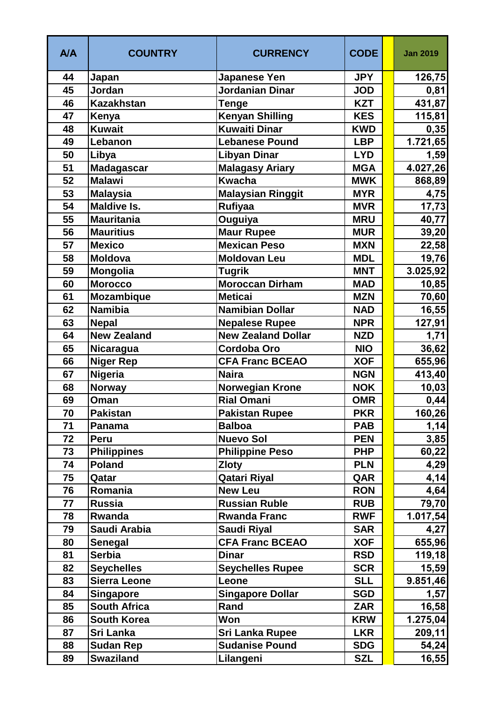| <b>A/A</b> | <b>COUNTRY</b>      | <b>CURRENCY</b>           | <b>CODE</b> | <b>Jan 2019</b> |
|------------|---------------------|---------------------------|-------------|-----------------|
| 44         | Japan               | <b>Japanese Yen</b>       | <b>JPY</b>  | 126,75          |
| 45         | Jordan              | <b>Jordanian Dinar</b>    | <b>JOD</b>  | 0,81            |
| 46         | <b>Kazakhstan</b>   | <b>Tenge</b>              | <b>KZT</b>  | 431,87          |
| 47         | Kenya               | <b>Kenyan Shilling</b>    | <b>KES</b>  | 115,81          |
| 48         | <b>Kuwait</b>       | <b>Kuwaiti Dinar</b>      | <b>KWD</b>  | 0,35            |
| 49         | Lebanon             | <b>Lebanese Pound</b>     | <b>LBP</b>  | 1.721,65        |
| 50         | Libya               | <b>Libyan Dinar</b>       | <b>LYD</b>  | 1,59            |
| 51         | <b>Madagascar</b>   | Malagasy Ariary           | <b>MGA</b>  | 4.027,26        |
| 52         | <b>Malawi</b>       | <b>Kwacha</b>             | <b>MWK</b>  | 868,89          |
| 53         | <b>Malaysia</b>     | <b>Malaysian Ringgit</b>  | <b>MYR</b>  | 4,75            |
| 54         | <b>Maldive Is.</b>  | <b>Rufiyaa</b>            | <b>MVR</b>  | 17,73           |
| 55         | <b>Mauritania</b>   | Ouguiya                   | <b>MRU</b>  | 40,77           |
| 56         | <b>Mauritius</b>    | <b>Maur Rupee</b>         | <b>MUR</b>  | 39,20           |
| 57         | <b>Mexico</b>       | <b>Mexican Peso</b>       | <b>MXN</b>  | 22,58           |
| 58         | <b>Moldova</b>      | <b>Moldovan Leu</b>       | <b>MDL</b>  | 19,76           |
| 59         | Mongolia            | <b>Tugrik</b>             | <b>MNT</b>  | 3.025,92        |
| 60         | <b>Morocco</b>      | <b>Moroccan Dirham</b>    | <b>MAD</b>  | 10,85           |
| 61         | <b>Mozambique</b>   | <b>Meticai</b>            | <b>MZN</b>  | 70,60           |
| 62         | <b>Namibia</b>      | <b>Namibian Dollar</b>    | <b>NAD</b>  | 16,55           |
| 63         | <b>Nepal</b>        | <b>Nepalese Rupee</b>     | <b>NPR</b>  | 127,91          |
| 64         | New Zealand         | <b>New Zealand Dollar</b> | <b>NZD</b>  | 1,71            |
| 65         | Nicaragua           | <b>Cordoba Oro</b>        | <b>NIO</b>  | 36,62           |
| 66         | <b>Niger Rep</b>    | <b>CFA Franc BCEAO</b>    | <b>XOF</b>  | 655,96          |
| 67         | <b>Nigeria</b>      | <b>Naira</b>              | <b>NGN</b>  | 413,40          |
| 68         | <b>Norway</b>       | Norwegian Krone           | <b>NOK</b>  | 10,03           |
| 69         | Oman                | <b>Rial Omani</b>         | <b>OMR</b>  | 0,44            |
| 70         | Pakistan            | <b>Pakistan Rupee</b>     | <b>PKR</b>  | 160,26          |
| 71         | Panama              | <b>Balboa</b>             | <b>PAB</b>  | 1,14            |
| 72         | <b>Peru</b>         | <b>Nuevo Sol</b>          | <b>PEN</b>  | 3,85            |
| 73         | <b>Philippines</b>  | <b>Philippine Peso</b>    | <b>PHP</b>  | 60,22           |
| 74         | <b>Poland</b>       | <b>Zloty</b>              | <b>PLN</b>  | 4,29            |
| 75         | Qatar               | Qatari Riyal              | QAR         | 4,14            |
| 76         | Romania             | <b>New Leu</b>            | <b>RON</b>  | 4,64            |
| 77         | <b>Russia</b>       | <b>Russian Ruble</b>      | <b>RUB</b>  | 79,70           |
| 78         | Rwanda              | <b>Rwanda Franc</b>       | <b>RWF</b>  | 1.017,54        |
| 79         | Saudi Arabia        | <b>Saudi Riyal</b>        | <b>SAR</b>  | 4,27            |
| 80         | <b>Senegal</b>      | <b>CFA Franc BCEAO</b>    | <b>XOF</b>  | 655,96          |
| 81         | <b>Serbia</b>       | <b>Dinar</b>              | <b>RSD</b>  | 119,18          |
| 82         | <b>Seychelles</b>   | <b>Seychelles Rupee</b>   | <b>SCR</b>  | 15,59           |
| 83         | <b>Sierra Leone</b> | Leone                     | <b>SLL</b>  | 9.851,46        |
| 84         | <b>Singapore</b>    | <b>Singapore Dollar</b>   | <b>SGD</b>  | 1,57            |
| 85         | <b>South Africa</b> | Rand                      | <b>ZAR</b>  | 16,58           |
| 86         | <b>South Korea</b>  | Won                       | <b>KRW</b>  | 1.275,04        |
| 87         | Sri Lanka           | <b>Sri Lanka Rupee</b>    | <b>LKR</b>  | 209,11          |
| 88         | <b>Sudan Rep</b>    | <b>Sudanise Pound</b>     | <b>SDG</b>  | 54,24           |
| 89         | <b>Swaziland</b>    | Lilangeni                 | <b>SZL</b>  | 16,55           |